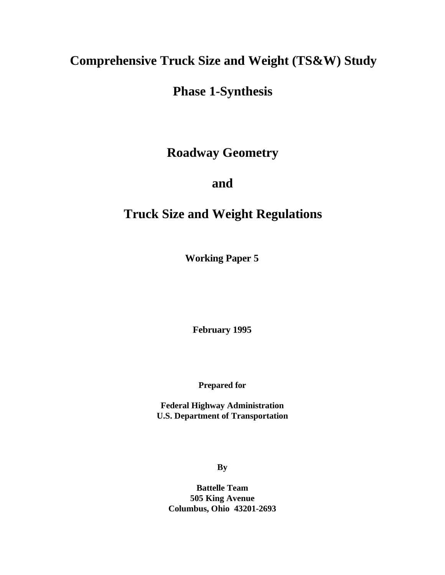# **Comprehensive Truck Size and Weight (TS&W) Study**

# **Phase 1-Synthesis**

**Roadway Geometry**

**and**

# **Truck Size and Weight Regulations**

**Working Paper 5**

**February 1995**

**Prepared for**

**Federal Highway Administration U.S. Department of Transportation**

**By**

**Battelle Team 505 King Avenue Columbus, Ohio 43201-2693**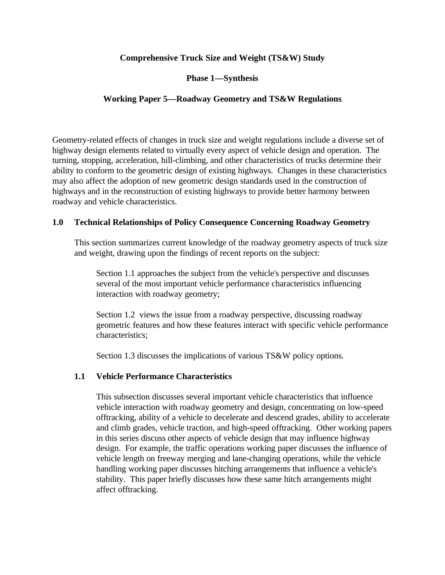# **Comprehensive Truck Size and Weight (TS&W) Study**

# **Phase 1—Synthesis**

# **Working Paper 5—Roadway Geometry and TS&W Regulations**

Geometry-related effects of changes in truck size and weight regulations include a diverse set of highway design elements related to virtually every aspect of vehicle design and operation. The turning, stopping, acceleration, hill-climbing, and other characteristics of trucks determine their ability to conform to the geometric design of existing highways. Changes in these characteristics may also affect the adoption of new geometric design standards used in the construction of highways and in the reconstruction of existing highways to provide better harmony between roadway and vehicle characteristics.

# **1.0 Technical Relationships of Policy Consequence Concerning Roadway Geometry**

This section summarizes current knowledge of the roadway geometry aspects of truck size and weight, drawing upon the findings of recent reports on the subject:

Section 1.1 approaches the subject from the vehicle's perspective and discusses several of the most important vehicle performance characteristics influencing interaction with roadway geometry;

Section 1.2 views the issue from a roadway perspective, discussing roadway geometric features and how these features interact with specific vehicle performance characteristics;

Section 1.3 discusses the implications of various TS&W policy options.

# **1.1 Vehicle Performance Characteristics**

This subsection discusses several important vehicle characteristics that influence vehicle interaction with roadway geometry and design, concentrating on low-speed offtracking, ability of a vehicle to decelerate and descend grades, ability to accelerate and climb grades, vehicle traction, and high-speed offtracking. Other working papers in this series discuss other aspects of vehicle design that may influence highway design. For example, the traffic operations working paper discusses the influence of vehicle length on freeway merging and lane-changing operations, while the vehicle handling working paper discusses hitching arrangements that influence a vehicle's stability. This paper briefly discusses how these same hitch arrangements might affect offtracking.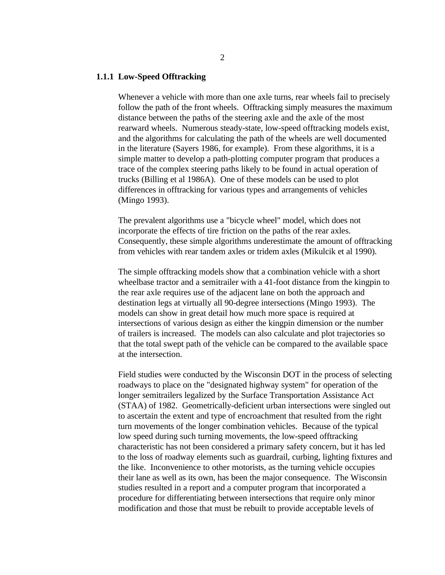#### **1.1.1 Low-Speed Offtracking**

Whenever a vehicle with more than one axle turns, rear wheels fail to precisely follow the path of the front wheels. Offtracking simply measures the maximum distance between the paths of the steering axle and the axle of the most rearward wheels. Numerous steady-state, low-speed offtracking models exist, and the algorithms for calculating the path of the wheels are well documented in the literature (Sayers 1986, for example). From these algorithms, it is a simple matter to develop a path-plotting computer program that produces a trace of the complex steering paths likely to be found in actual operation of trucks (Billing et al 1986A). One of these models can be used to plot differences in offtracking for various types and arrangements of vehicles (Mingo 1993).

The prevalent algorithms use a "bicycle wheel" model, which does not incorporate the effects of tire friction on the paths of the rear axles. Consequently, these simple algorithms underestimate the amount of offtracking from vehicles with rear tandem axles or tridem axles (Mikulcik et al 1990).

The simple offtracking models show that a combination vehicle with a short wheelbase tractor and a semitrailer with a 41-foot distance from the kingpin to the rear axle requires use of the adjacent lane on both the approach and destination legs at virtually all 90-degree intersections (Mingo 1993). The models can show in great detail how much more space is required at intersections of various design as either the kingpin dimension or the number of trailers is increased. The models can also calculate and plot trajectories so that the total swept path of the vehicle can be compared to the available space at the intersection.

Field studies were conducted by the Wisconsin DOT in the process of selecting roadways to place on the "designated highway system" for operation of the longer semitrailers legalized by the Surface Transportation Assistance Act (STAA) of 1982. Geometrically-deficient urban intersections were singled out to ascertain the extent and type of encroachment that resulted from the right turn movements of the longer combination vehicles. Because of the typical low speed during such turning movements, the low-speed offtracking characteristic has not been considered a primary safety concern, but it has led to the loss of roadway elements such as guardrail, curbing, lighting fixtures and the like. Inconvenience to other motorists, as the turning vehicle occupies their lane as well as its own, has been the major consequence. The Wisconsin studies resulted in a report and a computer program that incorporated a procedure for differentiating between intersections that require only minor modification and those that must be rebuilt to provide acceptable levels of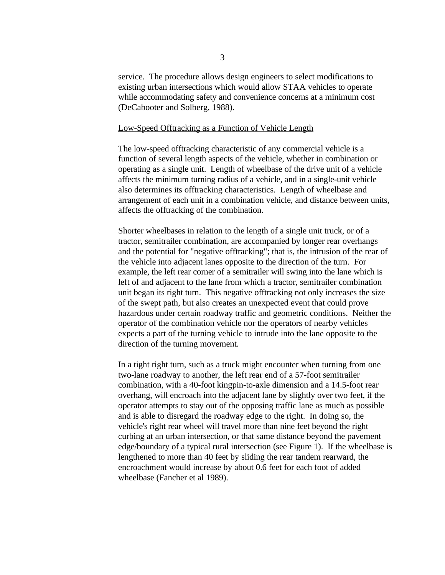service. The procedure allows design engineers to select modifications to existing urban intersections which would allow STAA vehicles to operate while accommodating safety and convenience concerns at a minimum cost (DeCabooter and Solberg, 1988).

## Low-Speed Offtracking as a Function of Vehicle Length

The low-speed offtracking characteristic of any commercial vehicle is a function of several length aspects of the vehicle, whether in combination or operating as a single unit. Length of wheelbase of the drive unit of a vehicle affects the minimum turning radius of a vehicle, and in a single-unit vehicle also determines its offtracking characteristics. Length of wheelbase and arrangement of each unit in a combination vehicle, and distance between units, affects the offtracking of the combination.

Shorter wheelbases in relation to the length of a single unit truck, or of a tractor, semitrailer combination, are accompanied by longer rear overhangs and the potential for "negative offtracking"; that is, the intrusion of the rear of the vehicle into adjacent lanes opposite to the direction of the turn. For example, the left rear corner of a semitrailer will swing into the lane which is left of and adjacent to the lane from which a tractor, semitrailer combination unit began its right turn. This negative offtracking not only increases the size of the swept path, but also creates an unexpected event that could prove hazardous under certain roadway traffic and geometric conditions. Neither the operator of the combination vehicle nor the operators of nearby vehicles expects a part of the turning vehicle to intrude into the lane opposite to the direction of the turning movement.

In a tight right turn, such as a truck might encounter when turning from one two-lane roadway to another, the left rear end of a 57-foot semitrailer combination, with a 40-foot kingpin-to-axle dimension and a 14.5-foot rear overhang, will encroach into the adjacent lane by slightly over two feet, if the operator attempts to stay out of the opposing traffic lane as much as possible and is able to disregard the roadway edge to the right. In doing so, the vehicle's right rear wheel will travel more than nine feet beyond the right curbing at an urban intersection, or that same distance beyond the pavement edge/boundary of a typical rural intersection (see Figure 1). If the wheelbase is lengthened to more than 40 feet by sliding the rear tandem rearward, the encroachment would increase by about 0.6 feet for each foot of added wheelbase (Fancher et al 1989).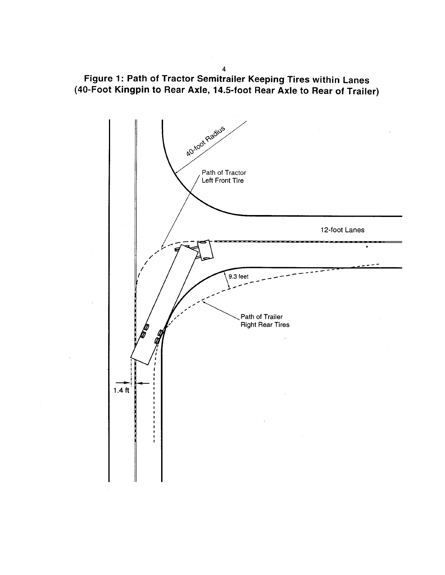Figure 1: Path of Tractor Semitrailer Keeping Tires within Lanes<br>(40-Foot Kingpin to Rear Axle, 14.5-foot Rear Axle to Rear of Trailer)



 $\overline{\mathbf{4}}$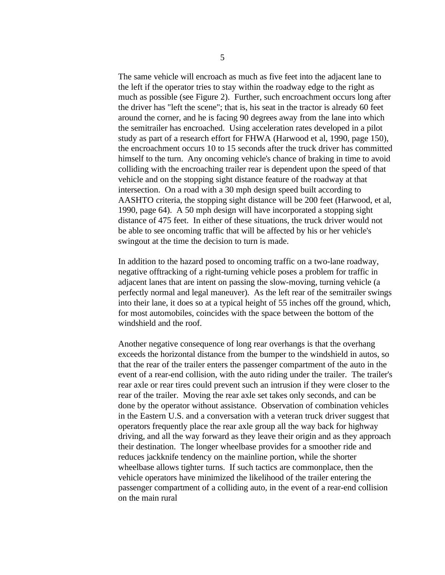The same vehicle will encroach as much as five feet into the adjacent lane to the left if the operator tries to stay within the roadway edge to the right as much as possible (see Figure 2). Further, such encroachment occurs long after the driver has "left the scene"; that is, his seat in the tractor is already 60 feet around the corner, and he is facing 90 degrees away from the lane into which the semitrailer has encroached. Using acceleration rates developed in a pilot study as part of a research effort for FHWA (Harwood et al, 1990, page 150), the encroachment occurs 10 to 15 seconds after the truck driver has committed himself to the turn. Any oncoming vehicle's chance of braking in time to avoid colliding with the encroaching trailer rear is dependent upon the speed of that vehicle and on the stopping sight distance feature of the roadway at that intersection. On a road with a 30 mph design speed built according to AASHTO criteria, the stopping sight distance will be 200 feet (Harwood, et al, 1990, page 64). A 50 mph design will have incorporated a stopping sight distance of 475 feet. In either of these situations, the truck driver would not be able to see oncoming traffic that will be affected by his or her vehicle's swingout at the time the decision to turn is made.

In addition to the hazard posed to oncoming traffic on a two-lane roadway, negative offtracking of a right-turning vehicle poses a problem for traffic in adjacent lanes that are intent on passing the slow-moving, turning vehicle (a perfectly normal and legal maneuver). As the left rear of the semitrailer swings into their lane, it does so at a typical height of 55 inches off the ground, which, for most automobiles, coincides with the space between the bottom of the windshield and the roof.

Another negative consequence of long rear overhangs is that the overhang exceeds the horizontal distance from the bumper to the windshield in autos, so that the rear of the trailer enters the passenger compartment of the auto in the event of a rear-end collision, with the auto riding under the trailer. The trailer's rear axle or rear tires could prevent such an intrusion if they were closer to the rear of the trailer. Moving the rear axle set takes only seconds, and can be done by the operator without assistance. Observation of combination vehicles in the Eastern U.S. and a conversation with a veteran truck driver suggest that operators frequently place the rear axle group all the way back for highway driving, and all the way forward as they leave their origin and as they approach their destination. The longer wheelbase provides for a smoother ride and reduces jackknife tendency on the mainline portion, while the shorter wheelbase allows tighter turns. If such tactics are commonplace, then the vehicle operators have minimized the likelihood of the trailer entering the passenger compartment of a colliding auto, in the event of a rear-end collision on the main rural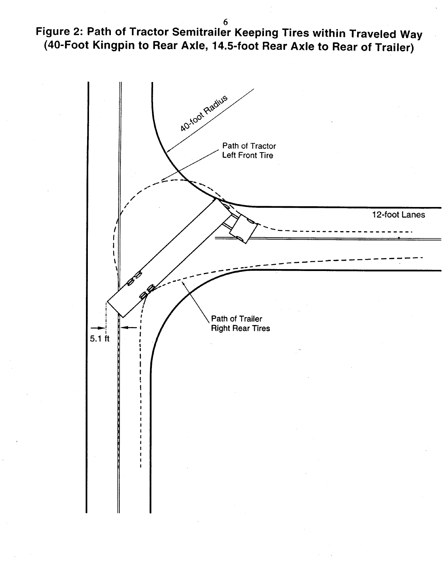Figure 2: Path of Tractor Semitrailer Keeping Tires within Traveled Way (40-Foot Kingpin to Rear Axle, 14.5-foot Rear Axle to Rear of Trailer)

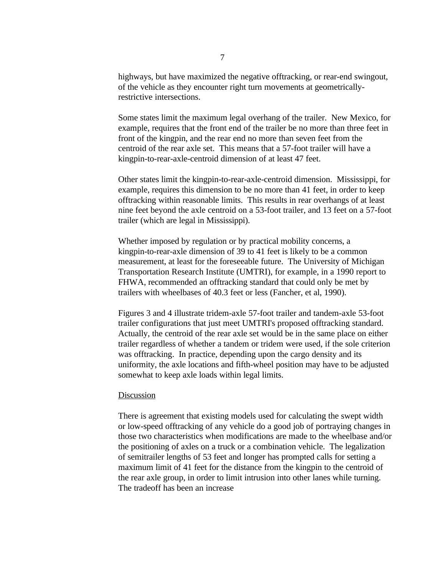highways, but have maximized the negative offtracking, or rear-end swingout, of the vehicle as they encounter right turn movements at geometricallyrestrictive intersections.

Some states limit the maximum legal overhang of the trailer. New Mexico, for example, requires that the front end of the trailer be no more than three feet in front of the kingpin, and the rear end no more than seven feet from the centroid of the rear axle set. This means that a 57-foot trailer will have a kingpin-to-rear-axle-centroid dimension of at least 47 feet.

Other states limit the kingpin-to-rear-axle-centroid dimension. Mississippi, for example, requires this dimension to be no more than 41 feet, in order to keep offtracking within reasonable limits. This results in rear overhangs of at least nine feet beyond the axle centroid on a 53-foot trailer, and 13 feet on a 57-foot trailer (which are legal in Mississippi).

Whether imposed by regulation or by practical mobility concerns, a kingpin-to-rear-axle dimension of 39 to 41 feet is likely to be a common measurement, at least for the foreseeable future. The University of Michigan Transportation Research Institute (UMTRI), for example, in a 1990 report to FHWA, recommended an offtracking standard that could only be met by trailers with wheelbases of 40.3 feet or less (Fancher, et al, 1990).

Figures 3 and 4 illustrate tridem-axle 57-foot trailer and tandem-axle 53-foot trailer configurations that just meet UMTRI's proposed offtracking standard. Actually, the centroid of the rear axle set would be in the same place on either trailer regardless of whether a tandem or tridem were used, if the sole criterion was offtracking. In practice, depending upon the cargo density and its uniformity, the axle locations and fifth-wheel position may have to be adjusted somewhat to keep axle loads within legal limits.

#### **Discussion**

There is agreement that existing models used for calculating the swept width or low-speed offtracking of any vehicle do a good job of portraying changes in those two characteristics when modifications are made to the wheelbase and/or the positioning of axles on a truck or a combination vehicle. The legalization of semitrailer lengths of 53 feet and longer has prompted calls for setting a maximum limit of 41 feet for the distance from the kingpin to the centroid of the rear axle group, in order to limit intrusion into other lanes while turning. The tradeoff has been an increase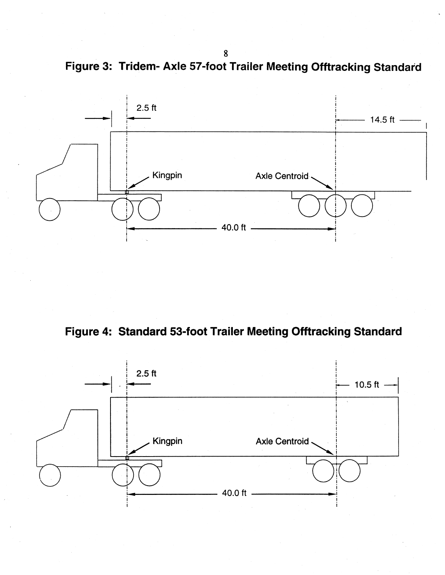Figure 3: Tridem- Axle 57-foot Trailer Meeting Offtracking Standard



Figure 4: Standard 53-foot Trailer Meeting Offtracking Standard



8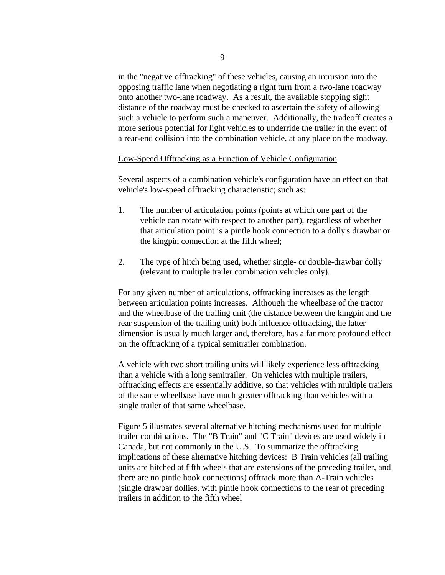in the "negative offtracking" of these vehicles, causing an intrusion into the opposing traffic lane when negotiating a right turn from a two-lane roadway onto another two-lane roadway. As a result, the available stopping sight distance of the roadway must be checked to ascertain the safety of allowing such a vehicle to perform such a maneuver. Additionally, the tradeoff creates a more serious potential for light vehicles to underride the trailer in the event of a rear-end collision into the combination vehicle, at any place on the roadway.

#### Low-Speed Offtracking as a Function of Vehicle Configuration

Several aspects of a combination vehicle's configuration have an effect on that vehicle's low-speed offtracking characteristic; such as:

- 1. The number of articulation points (points at which one part of the vehicle can rotate with respect to another part), regardless of whether that articulation point is a pintle hook connection to a dolly's drawbar or the kingpin connection at the fifth wheel;
- 2. The type of hitch being used, whether single- or double-drawbar dolly (relevant to multiple trailer combination vehicles only).

For any given number of articulations, offtracking increases as the length between articulation points increases. Although the wheelbase of the tractor and the wheelbase of the trailing unit (the distance between the kingpin and the rear suspension of the trailing unit) both influence offtracking, the latter dimension is usually much larger and, therefore, has a far more profound effect on the offtracking of a typical semitrailer combination.

A vehicle with two short trailing units will likely experience less offtracking than a vehicle with a long semitrailer. On vehicles with multiple trailers, offtracking effects are essentially additive, so that vehicles with multiple trailers of the same wheelbase have much greater offtracking than vehicles with a single trailer of that same wheelbase.

Figure 5 illustrates several alternative hitching mechanisms used for multiple trailer combinations. The "B Train" and "C Train" devices are used widely in Canada, but not commonly in the U.S. To summarize the offtracking implications of these alternative hitching devices: B Train vehicles (all trailing units are hitched at fifth wheels that are extensions of the preceding trailer, and there are no pintle hook connections) offtrack more than A-Train vehicles (single drawbar dollies, with pintle hook connections to the rear of preceding trailers in addition to the fifth wheel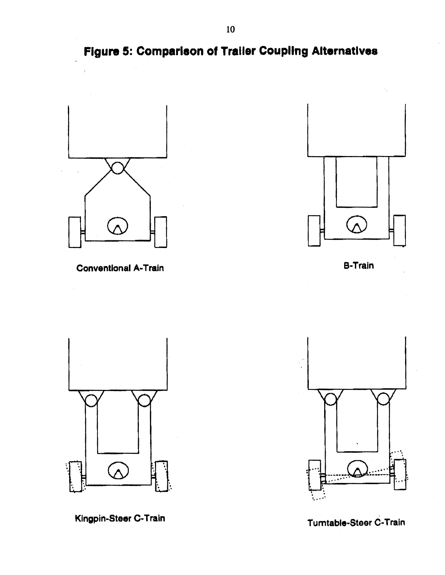Figure 5: Comparison of Trailer Coupling Alternatives



**Conventional A-Train** 



**B-Train** 



Kingpin-Steer C-Train



Turntable-Steer C-Train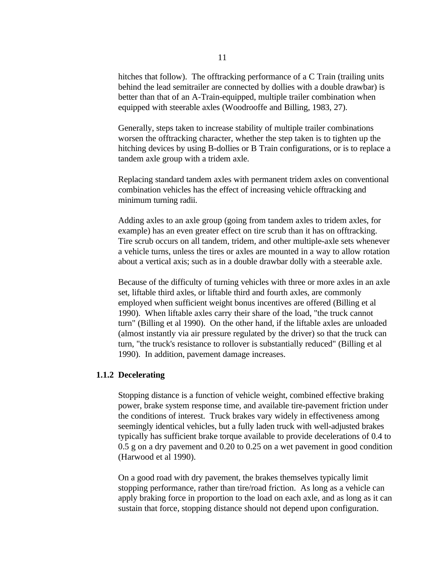hitches that follow). The offtracking performance of a C Train (trailing units behind the lead semitrailer are connected by dollies with a double drawbar) is better than that of an A-Train-equipped, multiple trailer combination when equipped with steerable axles (Woodrooffe and Billing, 1983, 27).

Generally, steps taken to increase stability of multiple trailer combinations worsen the offtracking character, whether the step taken is to tighten up the hitching devices by using B-dollies or B Train configurations, or is to replace a tandem axle group with a tridem axle.

Replacing standard tandem axles with permanent tridem axles on conventional combination vehicles has the effect of increasing vehicle offtracking and minimum turning radii.

Adding axles to an axle group (going from tandem axles to tridem axles, for example) has an even greater effect on tire scrub than it has on offtracking. Tire scrub occurs on all tandem, tridem, and other multiple-axle sets whenever a vehicle turns, unless the tires or axles are mounted in a way to allow rotation about a vertical axis; such as in a double drawbar dolly with a steerable axle.

Because of the difficulty of turning vehicles with three or more axles in an axle set, liftable third axles, or liftable third and fourth axles, are commonly employed when sufficient weight bonus incentives are offered (Billing et al 1990). When liftable axles carry their share of the load, "the truck cannot turn" (Billing et al 1990). On the other hand, if the liftable axles are unloaded (almost instantly via air pressure regulated by the driver) so that the truck can turn, "the truck's resistance to rollover is substantially reduced" (Billing et al 1990). In addition, pavement damage increases.

## **1.1.2 Decelerating**

Stopping distance is a function of vehicle weight, combined effective braking power, brake system response time, and available tire-pavement friction under the conditions of interest. Truck brakes vary widely in effectiveness among seemingly identical vehicles, but a fully laden truck with well-adjusted brakes typically has sufficient brake torque available to provide decelerations of 0.4 to 0.5 g on a dry pavement and 0.20 to 0.25 on a wet pavement in good condition (Harwood et al 1990).

On a good road with dry pavement, the brakes themselves typically limit stopping performance, rather than tire/road friction. As long as a vehicle can apply braking force in proportion to the load on each axle, and as long as it can sustain that force, stopping distance should not depend upon configuration.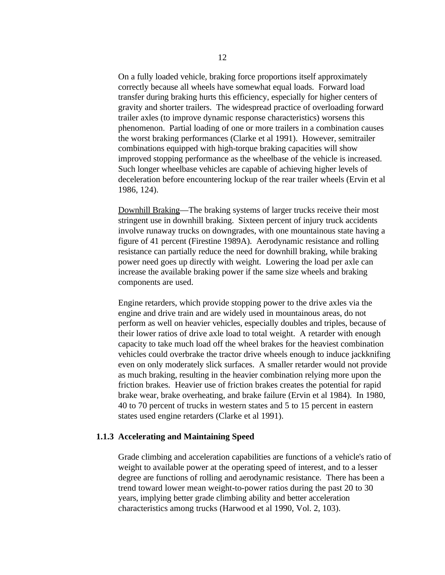On a fully loaded vehicle, braking force proportions itself approximately correctly because all wheels have somewhat equal loads. Forward load transfer during braking hurts this efficiency, especially for higher centers of gravity and shorter trailers. The widespread practice of overloading forward trailer axles (to improve dynamic response characteristics) worsens this phenomenon. Partial loading of one or more trailers in a combination causes the worst braking performances (Clarke et al 1991). However, semitrailer combinations equipped with high-torque braking capacities will show improved stopping performance as the wheelbase of the vehicle is increased. Such longer wheelbase vehicles are capable of achieving higher levels of deceleration before encountering lockup of the rear trailer wheels (Ervin et al 1986, 124).

Downhill Braking—The braking systems of larger trucks receive their most stringent use in downhill braking. Sixteen percent of injury truck accidents involve runaway trucks on downgrades, with one mountainous state having a figure of 41 percent (Firestine 1989A). Aerodynamic resistance and rolling resistance can partially reduce the need for downhill braking, while braking power need goes up directly with weight. Lowering the load per axle can increase the available braking power if the same size wheels and braking components are used.

Engine retarders, which provide stopping power to the drive axles via the engine and drive train and are widely used in mountainous areas, do not perform as well on heavier vehicles, especially doubles and triples, because of their lower ratios of drive axle load to total weight. A retarder with enough capacity to take much load off the wheel brakes for the heaviest combination vehicles could overbrake the tractor drive wheels enough to induce jackknifing even on only moderately slick surfaces. A smaller retarder would not provide as much braking, resulting in the heavier combination relying more upon the friction brakes. Heavier use of friction brakes creates the potential for rapid brake wear, brake overheating, and brake failure (Ervin et al 1984). In 1980, 40 to 70 percent of trucks in western states and 5 to 15 percent in eastern states used engine retarders (Clarke et al 1991).

#### **1.1.3 Accelerating and Maintaining Speed**

Grade climbing and acceleration capabilities are functions of a vehicle's ratio of weight to available power at the operating speed of interest, and to a lesser degree are functions of rolling and aerodynamic resistance. There has been a trend toward lower mean weight-to-power ratios during the past 20 to 30 years, implying better grade climbing ability and better acceleration characteristics among trucks (Harwood et al 1990, Vol. 2, 103).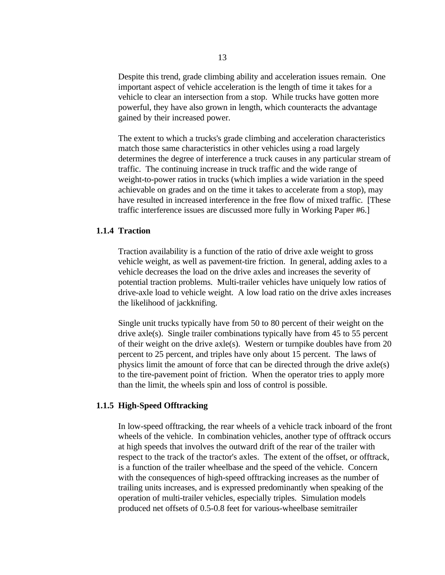Despite this trend, grade climbing ability and acceleration issues remain. One important aspect of vehicle acceleration is the length of time it takes for a vehicle to clear an intersection from a stop. While trucks have gotten more powerful, they have also grown in length, which counteracts the advantage gained by their increased power.

The extent to which a trucks's grade climbing and acceleration characteristics match those same characteristics in other vehicles using a road largely determines the degree of interference a truck causes in any particular stream of traffic. The continuing increase in truck traffic and the wide range of weight-to-power ratios in trucks (which implies a wide variation in the speed achievable on grades and on the time it takes to accelerate from a stop), may have resulted in increased interference in the free flow of mixed traffic. [These traffic interference issues are discussed more fully in Working Paper #6.]

#### **1.1.4 Traction**

Traction availability is a function of the ratio of drive axle weight to gross vehicle weight, as well as pavement-tire friction. In general, adding axles to a vehicle decreases the load on the drive axles and increases the severity of potential traction problems. Multi-trailer vehicles have uniquely low ratios of drive-axle load to vehicle weight. A low load ratio on the drive axles increases the likelihood of jackknifing.

Single unit trucks typically have from 50 to 80 percent of their weight on the drive axle(s). Single trailer combinations typically have from 45 to 55 percent of their weight on the drive axle(s). Western or turnpike doubles have from 20 percent to 25 percent, and triples have only about 15 percent. The laws of physics limit the amount of force that can be directed through the drive axle(s) to the tire-pavement point of friction. When the operator tries to apply more than the limit, the wheels spin and loss of control is possible.

#### **1.1.5 High-Speed Offtracking**

In low-speed offtracking, the rear wheels of a vehicle track inboard of the front wheels of the vehicle. In combination vehicles, another type of offtrack occurs at high speeds that involves the outward drift of the rear of the trailer with respect to the track of the tractor's axles. The extent of the offset, or offtrack, is a function of the trailer wheelbase and the speed of the vehicle. Concern with the consequences of high-speed offtracking increases as the number of trailing units increases, and is expressed predominantly when speaking of the operation of multi-trailer vehicles, especially triples. Simulation models produced net offsets of 0.5-0.8 feet for various-wheelbase semitrailer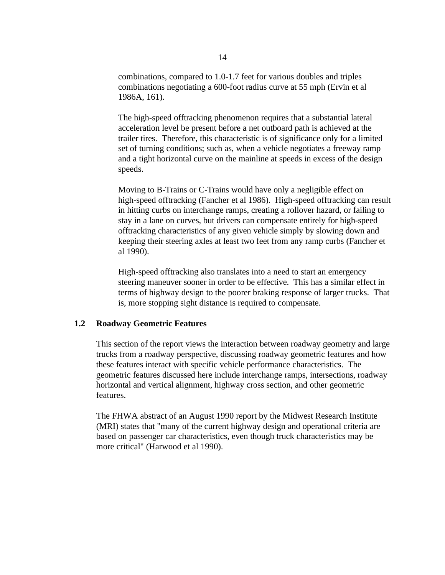combinations, compared to 1.0-1.7 feet for various doubles and triples combinations negotiating a 600-foot radius curve at 55 mph (Ervin et al 1986A, 161).

The high-speed offtracking phenomenon requires that a substantial lateral acceleration level be present before a net outboard path is achieved at the trailer tires. Therefore, this characteristic is of significance only for a limited set of turning conditions; such as, when a vehicle negotiates a freeway ramp and a tight horizontal curve on the mainline at speeds in excess of the design speeds.

Moving to B-Trains or C-Trains would have only a negligible effect on high-speed offtracking (Fancher et al 1986). High-speed offtracking can result in hitting curbs on interchange ramps, creating a rollover hazard, or failing to stay in a lane on curves, but drivers can compensate entirely for high-speed offtracking characteristics of any given vehicle simply by slowing down and keeping their steering axles at least two feet from any ramp curbs (Fancher et al 1990).

High-speed offtracking also translates into a need to start an emergency steering maneuver sooner in order to be effective. This has a similar effect in terms of highway design to the poorer braking response of larger trucks. That is, more stopping sight distance is required to compensate.

## **1.2 Roadway Geometric Features**

This section of the report views the interaction between roadway geometry and large trucks from a roadway perspective, discussing roadway geometric features and how these features interact with specific vehicle performance characteristics. The geometric features discussed here include interchange ramps, intersections, roadway horizontal and vertical alignment, highway cross section, and other geometric features.

The FHWA abstract of an August 1990 report by the Midwest Research Institute (MRI) states that "many of the current highway design and operational criteria are based on passenger car characteristics, even though truck characteristics may be more critical" (Harwood et al 1990).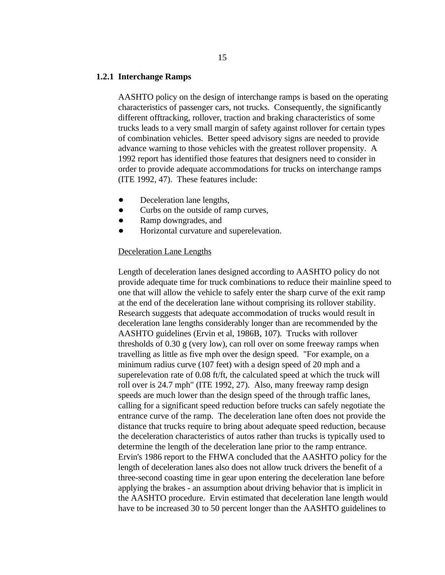#### **1.2.1 Interchange Ramps**

AASHTO policy on the design of interchange ramps is based on the operating characteristics of passenger cars, not trucks. Consequently, the significantly different offtracking, rollover, traction and braking characteristics of some trucks leads to a very small margin of safety against rollover for certain types of combination vehicles. Better speed advisory signs are needed to provide advance warning to those vehicles with the greatest rollover propensity. A 1992 report has identified those features that designers need to consider in order to provide adequate accommodations for trucks on interchange ramps (ITE 1992, 47). These features include:

- Deceleration lane lengths,
- Curbs on the outside of ramp curves,  $\bullet$
- Ramp downgrades, and  $\bullet$
- Horizontal curvature and superelevation.

#### Deceleration Lane Lengths

Length of deceleration lanes designed according to AASHTO policy do not provide adequate time for truck combinations to reduce their mainline speed to one that will allow the vehicle to safely enter the sharp curve of the exit ramp at the end of the deceleration lane without comprising its rollover stability. Research suggests that adequate accommodation of trucks would result in deceleration lane lengths considerably longer than are recommended by the AASHTO guidelines (Ervin et al, 1986B, 107). Trucks with rollover thresholds of 0.30 g (very low), can roll over on some freeway ramps when travelling as little as five mph over the design speed. "For example, on a minimum radius curve (107 feet) with a design speed of 20 mph and a superelevation rate of 0.08 ft/ft, the calculated speed at which the truck will roll over is 24.7 mph" (ITE 1992, 27). Also, many freeway ramp design speeds are much lower than the design speed of the through traffic lanes, calling for a significant speed reduction before trucks can safely negotiate the entrance curve of the ramp. The deceleration lane often does not provide the distance that trucks require to bring about adequate speed reduction, because the deceleration characteristics of autos rather than trucks is typically used to determine the length of the deceleration lane prior to the ramp entrance. Ervin's 1986 report to the FHWA concluded that the AASHTO policy for the length of deceleration lanes also does not allow truck drivers the benefit of a three-second coasting time in gear upon entering the deceleration lane before applying the brakes - an assumption about driving behavior that is implicit in the AASHTO procedure. Ervin estimated that deceleration lane length would have to be increased 30 to 50 percent longer than the AASHTO guidelines to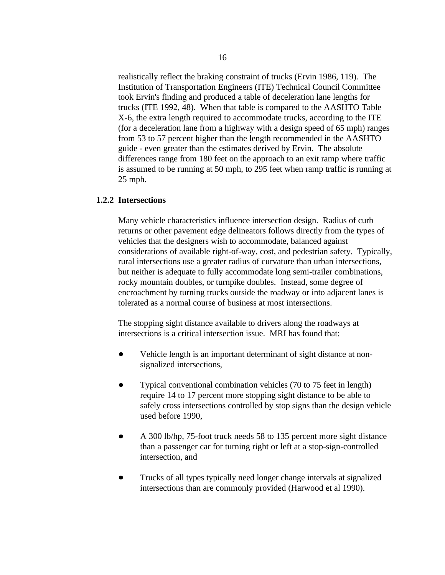realistically reflect the braking constraint of trucks (Ervin 1986, 119). The Institution of Transportation Engineers (ITE) Technical Council Committee took Ervin's finding and produced a table of deceleration lane lengths for trucks (ITE 1992, 48). When that table is compared to the AASHTO Table X-6, the extra length required to accommodate trucks, according to the ITE (for a deceleration lane from a highway with a design speed of 65 mph) ranges from 53 to 57 percent higher than the length recommended in the AASHTO guide - even greater than the estimates derived by Ervin. The absolute differences range from 180 feet on the approach to an exit ramp where traffic is assumed to be running at 50 mph, to 295 feet when ramp traffic is running at 25 mph.

## **1.2.2 Intersections**

Many vehicle characteristics influence intersection design. Radius of curb returns or other pavement edge delineators follows directly from the types of vehicles that the designers wish to accommodate, balanced against considerations of available right-of-way, cost, and pedestrian safety. Typically, rural intersections use a greater radius of curvature than urban intersections, but neither is adequate to fully accommodate long semi-trailer combinations, rocky mountain doubles, or turnpike doubles. Instead, some degree of encroachment by turning trucks outside the roadway or into adjacent lanes is tolerated as a normal course of business at most intersections.

The stopping sight distance available to drivers along the roadways at intersections is a critical intersection issue. MRI has found that:

- $\bullet$ Vehicle length is an important determinant of sight distance at nonsignalized intersections,
- Typical conventional combination vehicles (70 to 75 feet in length) require 14 to 17 percent more stopping sight distance to be able to safely cross intersections controlled by stop signs than the design vehicle used before 1990,
- $\bullet$ A 300 lb/hp, 75-foot truck needs 58 to 135 percent more sight distance than a passenger car for turning right or left at a stop-sign-controlled intersection, and
- Trucks of all types typically need longer change intervals at signalized intersections than are commonly provided (Harwood et al 1990).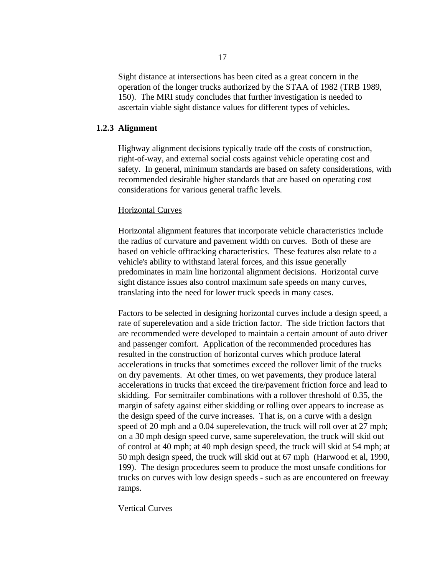Sight distance at intersections has been cited as a great concern in the operation of the longer trucks authorized by the STAA of 1982 (TRB 1989, 150). The MRI study concludes that further investigation is needed to ascertain viable sight distance values for different types of vehicles.

#### **1.2.3 Alignment**

Highway alignment decisions typically trade off the costs of construction, right-of-way, and external social costs against vehicle operating cost and safety. In general, minimum standards are based on safety considerations, with recommended desirable higher standards that are based on operating cost considerations for various general traffic levels.

#### Horizontal Curves

Horizontal alignment features that incorporate vehicle characteristics include the radius of curvature and pavement width on curves. Both of these are based on vehicle offtracking characteristics. These features also relate to a vehicle's ability to withstand lateral forces, and this issue generally predominates in main line horizontal alignment decisions. Horizontal curve sight distance issues also control maximum safe speeds on many curves, translating into the need for lower truck speeds in many cases.

Factors to be selected in designing horizontal curves include a design speed, a rate of superelevation and a side friction factor. The side friction factors that are recommended were developed to maintain a certain amount of auto driver and passenger comfort. Application of the recommended procedures has resulted in the construction of horizontal curves which produce lateral accelerations in trucks that sometimes exceed the rollover limit of the trucks on dry pavements. At other times, on wet pavements, they produce lateral accelerations in trucks that exceed the tire/pavement friction force and lead to skidding. For semitrailer combinations with a rollover threshold of 0.35, the margin of safety against either skidding or rolling over appears to increase as the design speed of the curve increases. That is, on a curve with a design speed of 20 mph and a 0.04 superelevation, the truck will roll over at 27 mph; on a 30 mph design speed curve, same superelevation, the truck will skid out of control at 40 mph; at 40 mph design speed, the truck will skid at 54 mph; at 50 mph design speed, the truck will skid out at 67 mph (Harwood et al, 1990, 199). The design procedures seem to produce the most unsafe conditions for trucks on curves with low design speeds - such as are encountered on freeway ramps.

## Vertical Curves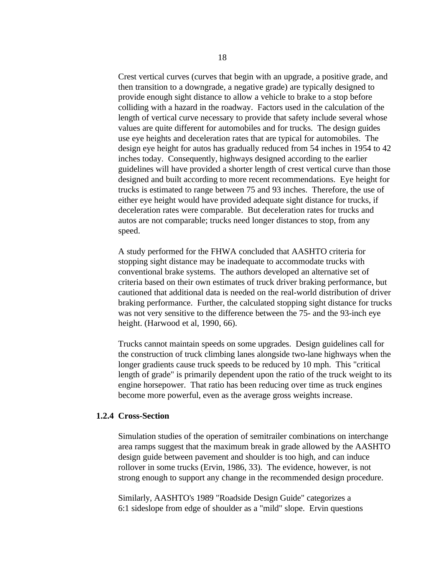Crest vertical curves (curves that begin with an upgrade, a positive grade, and then transition to a downgrade, a negative grade) are typically designed to provide enough sight distance to allow a vehicle to brake to a stop before colliding with a hazard in the roadway. Factors used in the calculation of the length of vertical curve necessary to provide that safety include several whose values are quite different for automobiles and for trucks. The design guides use eye heights and deceleration rates that are typical for automobiles. The design eye height for autos has gradually reduced from 54 inches in 1954 to 42 inches today. Consequently, highways designed according to the earlier guidelines will have provided a shorter length of crest vertical curve than those designed and built according to more recent recommendations. Eye height for trucks is estimated to range between 75 and 93 inches. Therefore, the use of either eye height would have provided adequate sight distance for trucks, if deceleration rates were comparable. But deceleration rates for trucks and autos are not comparable; trucks need longer distances to stop, from any speed.

A study performed for the FHWA concluded that AASHTO criteria for stopping sight distance may be inadequate to accommodate trucks with conventional brake systems. The authors developed an alternative set of criteria based on their own estimates of truck driver braking performance, but cautioned that additional data is needed on the real-world distribution of driver braking performance. Further, the calculated stopping sight distance for trucks was not very sensitive to the difference between the 75- and the 93-inch eye height. (Harwood et al, 1990, 66).

Trucks cannot maintain speeds on some upgrades. Design guidelines call for the construction of truck climbing lanes alongside two-lane highways when the longer gradients cause truck speeds to be reduced by 10 mph. This "critical length of grade" is primarily dependent upon the ratio of the truck weight to its engine horsepower. That ratio has been reducing over time as truck engines become more powerful, even as the average gross weights increase.

## **1.2.4 Cross-Section**

Simulation studies of the operation of semitrailer combinations on interchange area ramps suggest that the maximum break in grade allowed by the AASHTO design guide between pavement and shoulder is too high, and can induce rollover in some trucks (Ervin, 1986, 33). The evidence, however, is not strong enough to support any change in the recommended design procedure.

Similarly, AASHTO's 1989 "Roadside Design Guide" categorizes a 6:1 sideslope from edge of shoulder as a "mild" slope. Ervin questions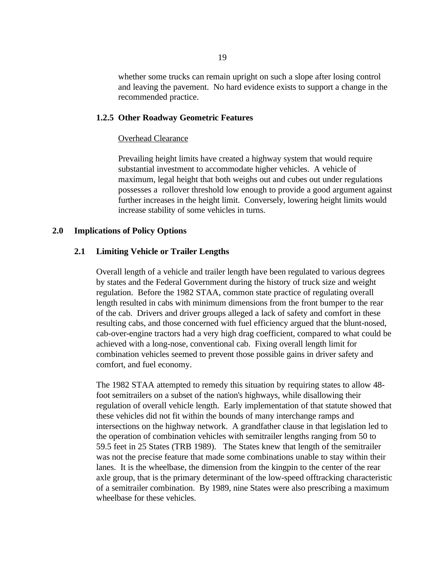whether some trucks can remain upright on such a slope after losing control and leaving the pavement. No hard evidence exists to support a change in the recommended practice.

#### **1.2.5 Other Roadway Geometric Features**

#### Overhead Clearance

Prevailing height limits have created a highway system that would require substantial investment to accommodate higher vehicles. A vehicle of maximum, legal height that both weighs out and cubes out under regulations possesses a rollover threshold low enough to provide a good argument against further increases in the height limit. Conversely, lowering height limits would increase stability of some vehicles in turns.

## **2.0 Implications of Policy Options**

#### **2.1 Limiting Vehicle or Trailer Lengths**

Overall length of a vehicle and trailer length have been regulated to various degrees by states and the Federal Government during the history of truck size and weight regulation. Before the 1982 STAA, common state practice of regulating overall length resulted in cabs with minimum dimensions from the front bumper to the rear of the cab. Drivers and driver groups alleged a lack of safety and comfort in these resulting cabs, and those concerned with fuel efficiency argued that the blunt-nosed, cab-over-engine tractors had a very high drag coefficient, compared to what could be achieved with a long-nose, conventional cab. Fixing overall length limit for combination vehicles seemed to prevent those possible gains in driver safety and comfort, and fuel economy.

The 1982 STAA attempted to remedy this situation by requiring states to allow 48 foot semitrailers on a subset of the nation's highways, while disallowing their regulation of overall vehicle length. Early implementation of that statute showed that these vehicles did not fit within the bounds of many interchange ramps and intersections on the highway network. A grandfather clause in that legislation led to the operation of combination vehicles with semitrailer lengths ranging from 50 to 59.5 feet in 25 States (TRB 1989). The States knew that length of the semitrailer was not the precise feature that made some combinations unable to stay within their lanes. It is the wheelbase, the dimension from the kingpin to the center of the rear axle group, that is the primary determinant of the low-speed offtracking characteristic of a semitrailer combination. By 1989, nine States were also prescribing a maximum wheelbase for these vehicles.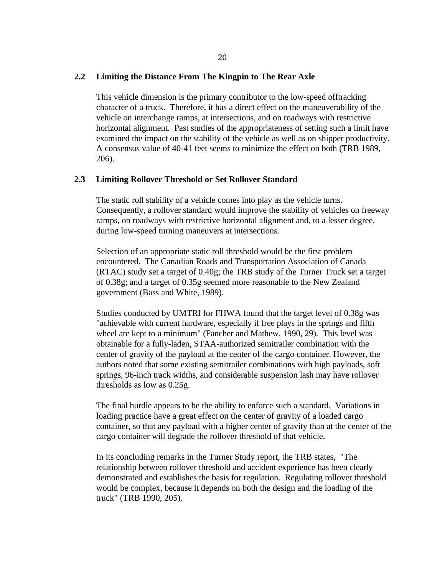## **2.2 Limiting the Distance From The Kingpin to The Rear Axle**

This vehicle dimension is the primary contributor to the low-speed offtracking character of a truck. Therefore, it has a direct effect on the maneuverability of the vehicle on interchange ramps, at intersections, and on roadways with restrictive horizontal alignment. Past studies of the appropriateness of setting such a limit have examined the impact on the stability of the vehicle as well as on shipper productivity. A consensus value of 40-41 feet seems to minimize the effect on both (TRB 1989, 206).

# **2.3 Limiting Rollover Threshold or Set Rollover Standard**

The static roll stability of a vehicle comes into play as the vehicle turns. Consequently, a rollover standard would improve the stability of vehicles on freeway ramps, on roadways with restrictive horizontal alignment and, to a lesser degree, during low-speed turning maneuvers at intersections.

Selection of an appropriate static roll threshold would be the first problem encountered. The Canadian Roads and Transportation Association of Canada (RTAC) study set a target of 0.40g; the TRB study of the Turner Truck set a target of 0.38g; and a target of 0.35g seemed more reasonable to the New Zealand government (Bass and White, 1989).

Studies conducted by UMTRI for FHWA found that the target level of 0.38g was "achievable with current hardware, especially if free plays in the springs and fifth wheel are kept to a minimum" (Fancher and Mathew, 1990, 29). This level was obtainable for a fully-laden, STAA-authorized semitrailer combination with the center of gravity of the payload at the center of the cargo container. However, the authors noted that some existing semitrailer combinations with high payloads, soft springs, 96-inch track widths, and considerable suspension lash may have rollover thresholds as low as 0.25g.

The final hurdle appears to be the ability to enforce such a standard. Variations in loading practice have a great effect on the center of gravity of a loaded cargo container, so that any payload with a higher center of gravity than at the center of the cargo container will degrade the rollover threshold of that vehicle.

In its concluding remarks in the Turner Study report, the TRB states, "The relationship between rollover threshold and accident experience has been clearly demonstrated and establishes the basis for regulation. Regulating rollover threshold would be complex, because it depends on both the design and the loading of the truck" (TRB 1990, 205).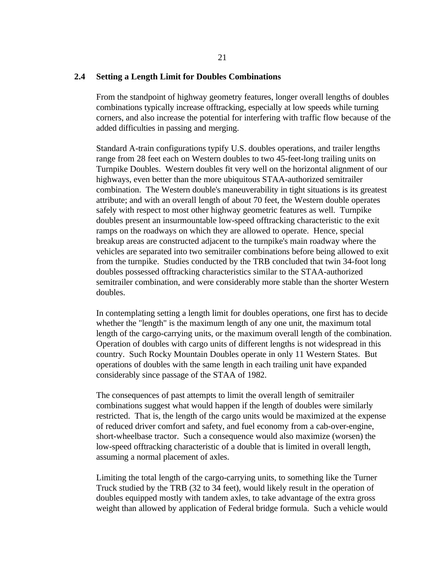#### **2.4 Setting a Length Limit for Doubles Combinations**

From the standpoint of highway geometry features, longer overall lengths of doubles combinations typically increase offtracking, especially at low speeds while turning corners, and also increase the potential for interfering with traffic flow because of the added difficulties in passing and merging.

Standard A-train configurations typify U.S. doubles operations, and trailer lengths range from 28 feet each on Western doubles to two 45-feet-long trailing units on Turnpike Doubles. Western doubles fit very well on the horizontal alignment of our highways, even better than the more ubiquitous STAA-authorized semitrailer combination. The Western double's maneuverability in tight situations is its greatest attribute; and with an overall length of about 70 feet, the Western double operates safely with respect to most other highway geometric features as well. Turnpike doubles present an insurmountable low-speed offtracking characteristic to the exit ramps on the roadways on which they are allowed to operate. Hence, special breakup areas are constructed adjacent to the turnpike's main roadway where the vehicles are separated into two semitrailer combinations before being allowed to exit from the turnpike. Studies conducted by the TRB concluded that twin 34-foot long doubles possessed offtracking characteristics similar to the STAA-authorized semitrailer combination, and were considerably more stable than the shorter Western doubles.

In contemplating setting a length limit for doubles operations, one first has to decide whether the "length" is the maximum length of any one unit, the maximum total length of the cargo-carrying units, or the maximum overall length of the combination. Operation of doubles with cargo units of different lengths is not widespread in this country. Such Rocky Mountain Doubles operate in only 11 Western States. But operations of doubles with the same length in each trailing unit have expanded considerably since passage of the STAA of 1982.

The consequences of past attempts to limit the overall length of semitrailer combinations suggest what would happen if the length of doubles were similarly restricted. That is, the length of the cargo units would be maximized at the expense of reduced driver comfort and safety, and fuel economy from a cab-over-engine, short-wheelbase tractor. Such a consequence would also maximize (worsen) the low-speed offtracking characteristic of a double that is limited in overall length, assuming a normal placement of axles.

Limiting the total length of the cargo-carrying units, to something like the Turner Truck studied by the TRB (32 to 34 feet), would likely result in the operation of doubles equipped mostly with tandem axles, to take advantage of the extra gross weight than allowed by application of Federal bridge formula. Such a vehicle would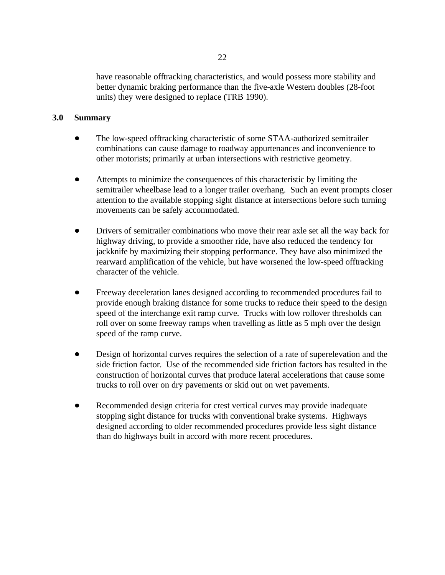have reasonable offtracking characteristics, and would possess more stability and better dynamic braking performance than the five-axle Western doubles (28-foot units) they were designed to replace (TRB 1990).

# **3.0 Summary**

- The low-speed offtracking characteristic of some STAA-authorized semitrailer combinations can cause damage to roadway appurtenances and inconvenience to other motorists; primarily at urban intersections with restrictive geometry.
- Attempts to minimize the consequences of this characteristic by limiting the semitrailer wheelbase lead to a longer trailer overhang. Such an event prompts closer attention to the available stopping sight distance at intersections before such turning movements can be safely accommodated.
- Drivers of semitrailer combinations who move their rear axle set all the way back for highway driving, to provide a smoother ride, have also reduced the tendency for jackknife by maximizing their stopping performance. They have also minimized the rearward amplification of the vehicle, but have worsened the low-speed offtracking character of the vehicle.
- Freeway deceleration lanes designed according to recommended procedures fail to provide enough braking distance for some trucks to reduce their speed to the design speed of the interchange exit ramp curve. Trucks with low rollover thresholds can roll over on some freeway ramps when travelling as little as 5 mph over the design speed of the ramp curve.
- Design of horizontal curves requires the selection of a rate of superelevation and the side friction factor. Use of the recommended side friction factors has resulted in the construction of horizontal curves that produce lateral accelerations that cause some trucks to roll over on dry pavements or skid out on wet pavements.
- Recommended design criteria for crest vertical curves may provide inadequate  $\bullet$ stopping sight distance for trucks with conventional brake systems. Highways designed according to older recommended procedures provide less sight distance than do highways built in accord with more recent procedures.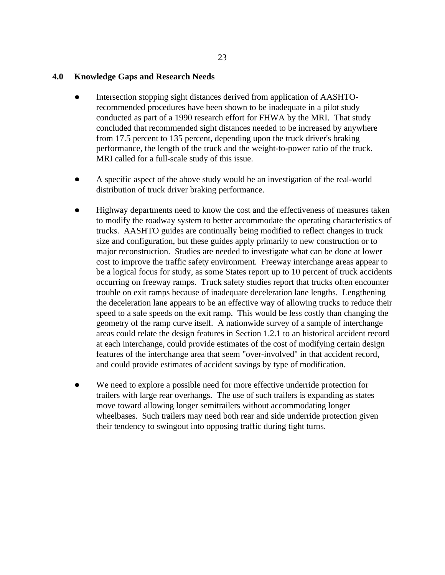## **4.0 Knowledge Gaps and Research Needs**

- Intersection stopping sight distances derived from application of AASHTOrecommended procedures have been shown to be inadequate in a pilot study conducted as part of a 1990 research effort for FHWA by the MRI. That study concluded that recommended sight distances needed to be increased by anywhere from 17.5 percent to 135 percent, depending upon the truck driver's braking performance, the length of the truck and the weight-to-power ratio of the truck. MRI called for a full-scale study of this issue.
- A specific aspect of the above study would be an investigation of the real-world distribution of truck driver braking performance.
- Highway departments need to know the cost and the effectiveness of measures taken to modify the roadway system to better accommodate the operating characteristics of trucks. AASHTO guides are continually being modified to reflect changes in truck size and configuration, but these guides apply primarily to new construction or to major reconstruction. Studies are needed to investigate what can be done at lower cost to improve the traffic safety environment. Freeway interchange areas appear to be a logical focus for study, as some States report up to 10 percent of truck accidents occurring on freeway ramps. Truck safety studies report that trucks often encounter trouble on exit ramps because of inadequate deceleration lane lengths. Lengthening the deceleration lane appears to be an effective way of allowing trucks to reduce their speed to a safe speeds on the exit ramp. This would be less costly than changing the geometry of the ramp curve itself. A nationwide survey of a sample of interchange areas could relate the design features in Section 1.2.1 to an historical accident record at each interchange, could provide estimates of the cost of modifying certain design features of the interchange area that seem "over-involved" in that accident record, and could provide estimates of accident savings by type of modification.
- We need to explore a possible need for more effective underride protection for trailers with large rear overhangs. The use of such trailers is expanding as states move toward allowing longer semitrailers without accommodating longer wheelbases. Such trailers may need both rear and side underride protection given their tendency to swingout into opposing traffic during tight turns.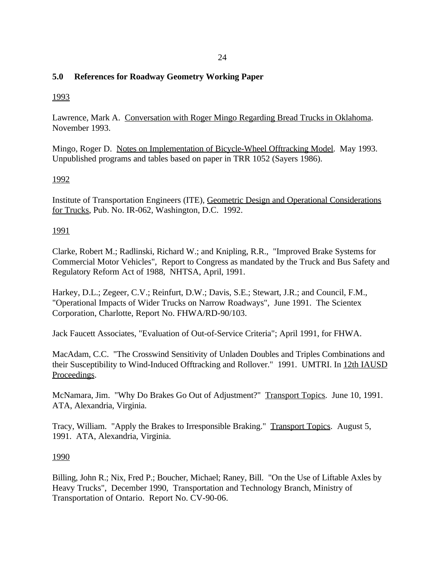# **5.0 References for Roadway Geometry Working Paper**

# 1993

Lawrence, Mark A. Conversation with Roger Mingo Regarding Bread Trucks in Oklahoma. November 1993.

Mingo, Roger D. Notes on Implementation of Bicycle-Wheel Offtracking Model. May 1993. Unpublished programs and tables based on paper in TRR 1052 (Sayers 1986).

# 1992

Institute of Transportation Engineers (ITE), Geometric Design and Operational Considerations for Trucks, Pub. No. IR-062, Washington, D.C. 1992.

# 1991

Clarke, Robert M.; Radlinski, Richard W.; and Knipling, R.R., "Improved Brake Systems for Commercial Motor Vehicles", Report to Congress as mandated by the Truck and Bus Safety and Regulatory Reform Act of 1988, NHTSA, April, 1991.

Harkey, D.L.; Zegeer, C.V.; Reinfurt, D.W.; Davis, S.E.; Stewart, J.R.; and Council, F.M., "Operational Impacts of Wider Trucks on Narrow Roadways", June 1991. The Scientex Corporation, Charlotte, Report No. FHWA/RD-90/103.

Jack Faucett Associates, "Evaluation of Out-of-Service Criteria"; April 1991, for FHWA.

MacAdam, C.C. "The Crosswind Sensitivity of Unladen Doubles and Triples Combinations and their Susceptibility to Wind-Induced Offtracking and Rollover." 1991. UMTRI. In 12th IAUSD Proceedings.

McNamara, Jim. "Why Do Brakes Go Out of Adjustment?" Transport Topics. June 10, 1991. ATA, Alexandria, Virginia.

Tracy, William. "Apply the Brakes to Irresponsible Braking." Transport Topics. August 5, 1991. ATA, Alexandria, Virginia.

# 1990

Billing, John R.; Nix, Fred P.; Boucher, Michael; Raney, Bill. "On the Use of Liftable Axles by Heavy Trucks", December 1990, Transportation and Technology Branch, Ministry of Transportation of Ontario. Report No. CV-90-06.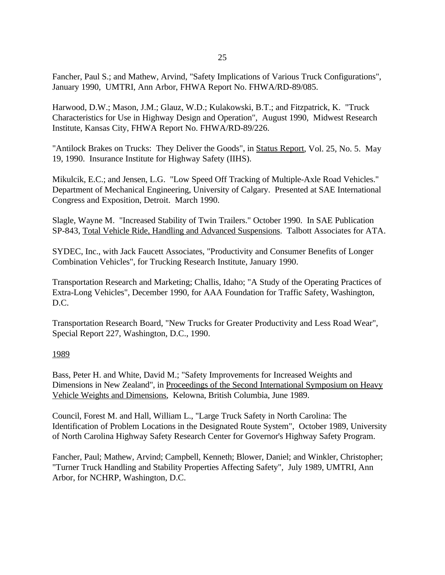Fancher, Paul S.; and Mathew, Arvind, "Safety Implications of Various Truck Configurations", January 1990, UMTRI, Ann Arbor, FHWA Report No. FHWA/RD-89/085.

Harwood, D.W.; Mason, J.M.; Glauz, W.D.; Kulakowski, B.T.; and Fitzpatrick, K. "Truck Characteristics for Use in Highway Design and Operation", August 1990, Midwest Research Institute, Kansas City, FHWA Report No. FHWA/RD-89/226.

"Antilock Brakes on Trucks: They Deliver the Goods", in Status Report, Vol. 25, No. 5. May 19, 1990. Insurance Institute for Highway Safety (IIHS).

Mikulcik, E.C.; and Jensen, L.G. "Low Speed Off Tracking of Multiple-Axle Road Vehicles." Department of Mechanical Engineering, University of Calgary. Presented at SAE International Congress and Exposition, Detroit. March 1990.

Slagle, Wayne M. "Increased Stability of Twin Trailers." October 1990. In SAE Publication SP-843, Total Vehicle Ride, Handling and Advanced Suspensions. Talbott Associates for ATA.

SYDEC, Inc., with Jack Faucett Associates, "Productivity and Consumer Benefits of Longer Combination Vehicles", for Trucking Research Institute, January 1990.

Transportation Research and Marketing; Challis, Idaho; "A Study of the Operating Practices of Extra-Long Vehicles", December 1990, for AAA Foundation for Traffic Safety, Washington, D.C.

Transportation Research Board, "New Trucks for Greater Productivity and Less Road Wear", Special Report 227, Washington, D.C., 1990.

# 1989

Bass, Peter H. and White, David M.; "Safety Improvements for Increased Weights and Dimensions in New Zealand", in Proceedings of the Second International Symposium on Heavy Vehicle Weights and Dimensions, Kelowna, British Columbia, June 1989.

Council, Forest M. and Hall, William L., "Large Truck Safety in North Carolina: The Identification of Problem Locations in the Designated Route System", October 1989, University of North Carolina Highway Safety Research Center for Governor's Highway Safety Program.

Fancher, Paul; Mathew, Arvind; Campbell, Kenneth; Blower, Daniel; and Winkler, Christopher; "Turner Truck Handling and Stability Properties Affecting Safety", July 1989, UMTRI, Ann Arbor, for NCHRP, Washington, D.C.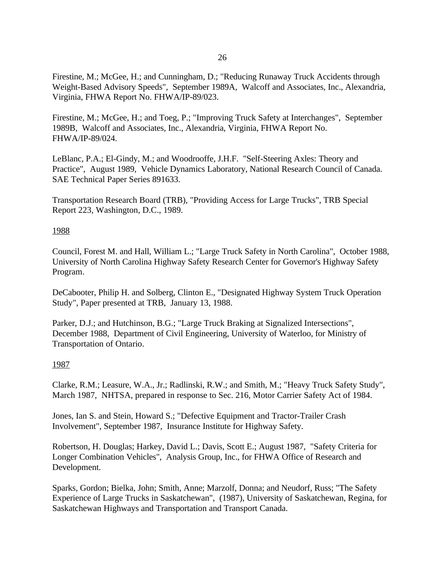Firestine, M.; McGee, H.; and Cunningham, D.; "Reducing Runaway Truck Accidents through Weight-Based Advisory Speeds", September 1989A, Walcoff and Associates, Inc., Alexandria, Virginia, FHWA Report No. FHWA/IP-89/023.

Firestine, M.; McGee, H.; and Toeg, P.; "Improving Truck Safety at Interchanges", September 1989B, Walcoff and Associates, Inc., Alexandria, Virginia, FHWA Report No. FHWA/IP-89/024.

LeBlanc, P.A.; El-Gindy, M.; and Woodrooffe, J.H.F. "Self-Steering Axles: Theory and Practice", August 1989, Vehicle Dynamics Laboratory, National Research Council of Canada. SAE Technical Paper Series 891633.

Transportation Research Board (TRB), "Providing Access for Large Trucks", TRB Special Report 223, Washington, D.C., 1989.

# 1988

Council, Forest M. and Hall, William L.; "Large Truck Safety in North Carolina", October 1988, University of North Carolina Highway Safety Research Center for Governor's Highway Safety Program.

DeCabooter, Philip H. and Solberg, Clinton E., "Designated Highway System Truck Operation Study", Paper presented at TRB, January 13, 1988.

Parker, D.J.; and Hutchinson, B.G.; "Large Truck Braking at Signalized Intersections", December 1988, Department of Civil Engineering, University of Waterloo, for Ministry of Transportation of Ontario.

# 1987

Clarke, R.M.; Leasure, W.A., Jr.; Radlinski, R.W.; and Smith, M.; "Heavy Truck Safety Study", March 1987, NHTSA, prepared in response to Sec. 216, Motor Carrier Safety Act of 1984.

Jones, Ian S. and Stein, Howard S.; "Defective Equipment and Tractor-Trailer Crash Involvement", September 1987, Insurance Institute for Highway Safety.

Robertson, H. Douglas; Harkey, David L.; Davis, Scott E.; August 1987, "Safety Criteria for Longer Combination Vehicles", Analysis Group, Inc., for FHWA Office of Research and Development.

Sparks, Gordon; Bielka, John; Smith, Anne; Marzolf, Donna; and Neudorf, Russ; "The Safety Experience of Large Trucks in Saskatchewan", (1987), University of Saskatchewan, Regina, for Saskatchewan Highways and Transportation and Transport Canada.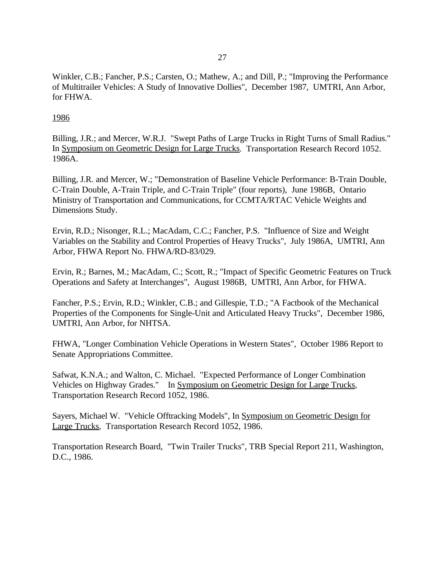Winkler, C.B.; Fancher, P.S.; Carsten, O.; Mathew, A.; and Dill, P.; "Improving the Performance of Multitrailer Vehicles: A Study of Innovative Dollies", December 1987, UMTRI, Ann Arbor, for FHWA.

# 1986

Billing, J.R.; and Mercer, W.R.J. "Swept Paths of Large Trucks in Right Turns of Small Radius." In Symposium on Geometric Design for Large Trucks. Transportation Research Record 1052. 1986A.

Billing, J.R. and Mercer, W.; "Demonstration of Baseline Vehicle Performance: B-Train Double, C-Train Double, A-Train Triple, and C-Train Triple" (four reports), June 1986B, Ontario Ministry of Transportation and Communications, for CCMTA/RTAC Vehicle Weights and Dimensions Study.

Ervin, R.D.; Nisonger, R.L.; MacAdam, C.C.; Fancher, P.S. "Influence of Size and Weight Variables on the Stability and Control Properties of Heavy Trucks", July 1986A, UMTRI, Ann Arbor, FHWA Report No. FHWA/RD-83/029.

Ervin, R.; Barnes, M.; MacAdam, C.; Scott, R.; "Impact of Specific Geometric Features on Truck Operations and Safety at Interchanges", August 1986B, UMTRI, Ann Arbor, for FHWA.

Fancher, P.S.; Ervin, R.D.; Winkler, C.B.; and Gillespie, T.D.; "A Factbook of the Mechanical Properties of the Components for Single-Unit and Articulated Heavy Trucks", December 1986, UMTRI, Ann Arbor, for NHTSA.

FHWA, "Longer Combination Vehicle Operations in Western States", October 1986 Report to Senate Appropriations Committee.

Safwat, K.N.A.; and Walton, C. Michael. "Expected Performance of Longer Combination Vehicles on Highway Grades." In Symposium on Geometric Design for Large Trucks, Transportation Research Record 1052, 1986.

Sayers, Michael W. "Vehicle Offtracking Models", In Symposium on Geometric Design for Large Trucks, Transportation Research Record 1052, 1986.

Transportation Research Board, "Twin Trailer Trucks", TRB Special Report 211, Washington, D.C., 1986.